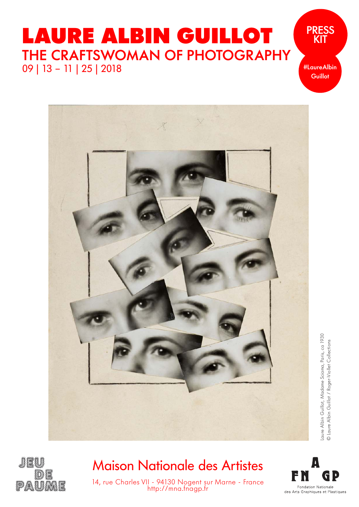## **LAURE ALBIN GUILLOT** THE CRAFTSWOMAN OF PHOTOGRAPHY 09 | 13 – 11 | 25 | 2018

#LaureAlbin **Guillot** 

PRESS **KIT** 



Laure Albin Guillot, Madame Sciama, Paris, ca 1930<br>© Laure Albin Guillot / Roger-Viollet Collections Laure Albin Guillot, Madame Sciama, Paris, ca 1930 © Laure Albin Guillot / Roger-Viollet Collections



## Maison Nationale des Artistes



14, rue Charles VII - 94130 Nogent sur Marne - France http://mna.fnagp.fr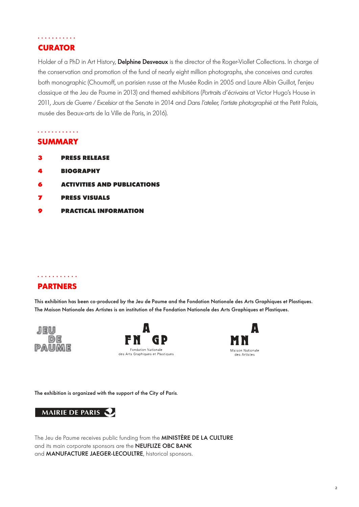### . . . . . . . . . . . **CURATOR**

Holder of a PhD in Art History, Delphine Desveaux is the director of the Roger-Viollet Collections. In charge of the conservation and promotion of the fund of nearly eight million photographs, she conceives and curates both monographic (Choumoff, un parisien russe at the Musée Rodin in 2005 and Laure Albin Guillot, l'enjeu classique at the Jeu de Paume in 2013) and themed exhibitions (Portraits d'écrivains at Victor Hugo's House in 2011, Jours de Guerre / Excelsior at the Senate in 2014 and Dans l'atelier, l'artiste photographié at the Petit Palais, musée des Beaux-arts de la Ville de Paris, in 2016).

### . . . . . . . . . . . .

### **SUMMARY**

- **PRESS RELEASE 3**
- **BIOGRAPHY 4**
- **ACTIVITIES AND PUBLICATIONS 6**
- **PRESS VISUALS 7**
- **PRACTICAL INFORMATION 9**

### . . . . . . . . . . . **PARTNERS**

This exhibition has been co-produced by the Jeu de Paume and the Fondation Nationale des Arts Graphiques et Plastiques. The Maison Nationale des Artistes is an institution of the Fondation Nationale des Arts Graphiques et Plastiques.







The exhibition is organized with the support of the City of Paris.



The Jeu de Paume receives public funding from the MINISTÈRE DE LA CULTURE and its main corporate sponsors are the NEUFLIZE OBC BANK and **MANUFACTURE JAEGER-LECOULTRE**, historical sponsors.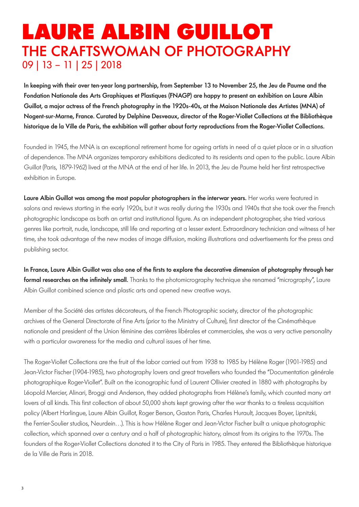## **LAURE ALBIN GUILLOT** THE CRAFTSWOMAN OF PHOTOGRAPHY 09 | 13 – 11 | 25 | 2018

In keeping with their over ten-year long partnership, from September 13 to November 25, the Jeu de Paume and the Fondation Nationale des Arts Graphiques et Plastiques (FNAGP) are happy to present an exhibition on Laure Albin Guillot, a major actress of the French photography in the 1920s-40s, at the Maison Nationale des Artistes (MNA) of Nogent-sur-Marne, France. Curated by Delphine Desveaux, director of the Roger-Viollet Collections at the Bibliothèque historique de la Ville de Paris, the exhibition will gather about forty reproductions from the Roger-Viollet Collections.

Founded in 1945, the MNA is an exceptional retirement home for ageing artists in need of a quiet place or in a situation of dependence. The MNA organizes temporary exhibitions dedicated to its residents and open to the public. Laure Albin Guillot (Paris, 1879-1962) lived at the MNA at the end of her life. In 2013, the Jeu de Paume held her first retrospective exhibition in Europe.

Laure Albin Guillot was among the most popular photographers in the interwar years. Her works were featured in salons and reviews starting in the early 1920s, but it was really during the 1930s and 1940s that she took over the French photographic landscape as both an artist and institutional figure. As an independent photographer, she tried various genres like portrait, nude, landscape, still life and reporting at a lesser extent. Extraordinary technician and witness of her time, she took advantage of the new modes of image diffusion, making illustrations and advertisements for the press and publishing sector.

In France, Laure Albin Guillot was also one of the firsts to explore the decorative dimension of photography through her formal researches on the infinitely small. Thanks to the photomicrography technique she renamed "micrography", Laure Albin Guillot combined science and plastic arts and opened new creative ways.

Member of the Société des artistes décorateurs, of the French Photographic society, director of the photographic archives of the General Directorate of Fine Arts (prior to the Ministry of Culture), first director of the Cinémathèque nationale and president of the Union féminine des carrières libérales et commerciales, she was a very active personality with a particular awareness for the media and cultural issues of her time.

The Roger-Viollet Collections are the fruit of the labor carried out from 1938 to 1985 by Hélène Roger (1901-1985) and Jean-Victor Fischer (1904-1985), two photography lovers and great travellers who founded the "Documentation générale photographique Roger-Viollet". Built on the iconographic fund of Laurent Ollivier created in 1880 with photographs by Léopold Mercier, Alinari, Broggi and Anderson, they added photographs from Hélène's family, which counted many art lovers of all kinds. This first collection of about 50,000 shots kept growing after the war thanks to a tireless acquisition policy (Albert Harlingue, Laure Albin Guillot, Roger Berson, Gaston Paris, Charles Hurault, Jacques Boyer, Lipnitzki, the Ferrier-Soulier studios, Neurdein…). This is how Hélène Roger and Jean-Victor Fischer built a unique photographic collection, which spanned over a century and a half of photographic history, almost from its origins to the 1970s. The founders of the Roger-Viollet Collections donated it to the City of Paris in 1985. They entered the Bibliothèque historique de la Ville de Paris in 2018.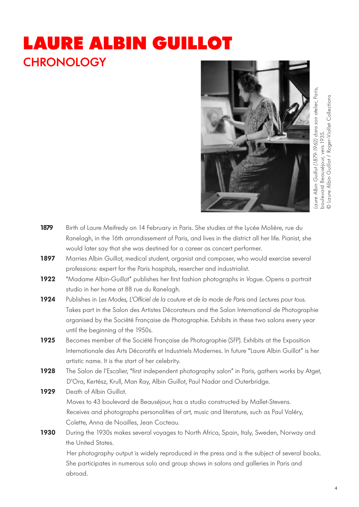# **LAURE ALBIN GUILLOT CHRONOLOGY**



| 1879 | Birth of Laure Meifredy on 14 February in Paris. She studies at the Lycée Molière, rue du           |
|------|-----------------------------------------------------------------------------------------------------|
|      | Ranelagh, in the 16th arrondissement of Paris, and lives in the district all her life. Pianist, she |
|      | would later say that she was destined for a career as concert performer.                            |
| 1897 | Marries Albin Guillot, medical student, organist and composer, who would exercise several           |
|      | professions: expert for the Paris hospitals, resercher and industrialist.                           |
| 1922 | "Madame Albin-Guillot" publishes her first fashion photographs in Vogue. Opens a portrait           |
|      | studio in her home at 88 rue du Ranelagh.                                                           |
| 1924 | Publishes in Les Modes, L'Officiel de la couture et de la mode de Paris and Lectures pour tous.     |
|      | Takes part in the Salon des Artistes Décorateurs and the Salon International de Photographie        |
|      | organised by the Société Française de Photographie. Exhibits in these two salons every year         |
|      | until the beginning of the 1950s.                                                                   |
| 1925 | Becomes member of the Société Française de Photographie (SFP). Exhibits at the Exposition           |
|      | Internationale des Arts Décoratifs et Industriels Modernes. In future "Laure Albin Guillot" is her  |
|      | artistic name. It is the start of her celebrity.                                                    |
| 1928 | The Salon de l'Escalier, "first independent photography salon" in Paris, gathers works by Atget,    |
|      | D'Ora, Kertész, Krull, Man Ray, Albin Guillot, Paul Nadar and Outerbridge.                          |
| 1929 | Death of Albin Guillot.                                                                             |
|      | Moves to 43 boulevard de Beauséjour, has a studio constructed by Mallet-Stevens.                    |
|      | Receives and photographs personalities of art, music and literature, such as Paul Valéry,           |
|      | Colette, Anna de Noailles, Jean Cocteau.                                                            |
| 1930 | During the 1930s makes several voyages to North Africa, Spain, Italy, Sweden, Norway and            |
|      | the United States.                                                                                  |
|      | Her photography output is widely reproduced in the press and is the subject of several books.       |
|      | She participates in numerous solo and group shows in salons and galleries in Paris and              |
|      | abroad.                                                                                             |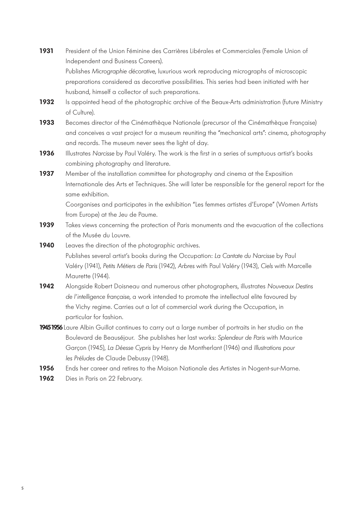- **1931** President of the Union Féminine des Carrières Libérales et Commerciales (Female Union of Independent and Business Careers). Publishes Micrographie décorative, luxurious work reproducing micrographs of microscopic preparations considered as decorative possibilities. This series had been initiated with her husband, himself a collector of such preparations.
- 1932 Is appointed head of the photographic archive of the Beaux-Arts administration (future Ministry of Culture).
- **1933** Becomes director of the Cinémathèque Nationale (precursor of the Cinémathèque Française) and conceives a vast project for a museum reuniting the "mechanical arts": cinema, photography and records. The museum never sees the light of day.
- **1936** Illustrates Narcisse by Paul Valéry. The work is the first in a series of sumptuous artist's books combining photography and literature.
- **1937** Member of the installation committee for photography and cinema at the Exposition Internationale des Arts et Techniques. She will later be responsible for the general report for the same exhibition.

 Coorganises and participates in the exhibition "Les femmes artistes d'Europe" (Women Artists from Europe) at the Jeu de Paume.

- 1939 Takes views concerning the protection of Paris monuments and the evacuation of the collections of the Musée du Louvre.
- **1940** Leaves the direction of the photographic archives.

 Publishes several artist's books during the Occupation: La Cantate du Narcisse by Paul Valéry (1941), Petits Métiers de Paris (1942), Arbres with Paul Valéry (1943), Ciels with Marcelle Maurette (1944).

- **1942** Alongside Robert Doisneau and numerous other photographers, illustrates Nouveaux Destins de l'intelligence française, a work intended to promote the intellectual elite favoured by the Vichy regime. Carries out a lot of commercial work during the Occupation, in particular for fashion.
- **19451956**Laure Albin Guillot continues to carry out a large number of portraits in her studio on the Boulevard de Beauséjour. She publishes her last works: Splendeur de Paris with Maurice Garçon (1945), La Déesse Cypris by Henry de Montherlant (1946) and Illustrations pour les Préludes de Claude Debussy (1948).
- **1956** Ends her career and retires to the Maison Nationale des Artistes in Nogent-sur-Marne.
- **1962** Dies in Paris on 22 February.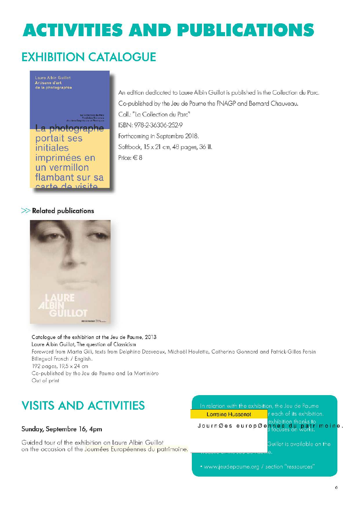# **ACTIVITIES AND PUBLICATIONS**

### **EXHIBITION CATALOGUE**



An edition dedicated to Laure Albin Guillot is published in the Collection du Parc. Co-published by the Jeu de Paume the FNAGP and Bernard Chauveau. Coll.: "La Collection du Parc" ISBN: 978-2-36306-252-9 Forthcoming in Septembre 2018. Softback, 15 x 21 cm, 48 pages, 36 ill. Price:  $\in 8$ 

### $\gg$  Related publications



Catalogue of the exhibition at the Jeu de Paume, 2013 Laure Albin Guillot, The question of Classicism Foreword from Marta Gili, texts from Delphine Desveaux, Michaël Houlette, Catherine Gonnard and Patrick-Gilles Persin Bilingual French / English. 192 pages, 19,5 x 24 cm Co-published by the Jeu de Paume and La Martinière Out of print

### **VISITS AND ACTIVITIES**

#### Sunday, Septembre 16, 4pm

Guided tour of the exhibition on Laure Albin Guillot on the occasion of the Journées Européennes du patrimoine.

| Lorraine Hussenot | r each of its exhibition.                                                        |
|-------------------|----------------------------------------------------------------------------------|
|                   | Journ Øes europ Øen res du patrimoine.<br>Journ Øes europ Øen nes du patrimoine. |
|                   | Guillot is available on the                                                      |

www.jeudepaume.org / section "ressources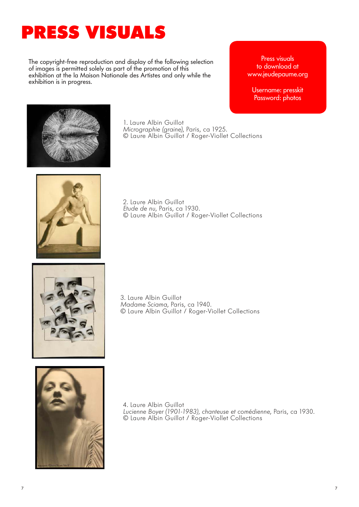# **PRESS VISUALS**

The copyright-free reproduction and display of the following selection of images is permitted solely as part of the promotion of this exhibition at the la Maison Nationale des Artistes and only while the exhibition is in progress.

Press visuals to download at www.jeudepaume.org

Username: presskit Password: photos



1. Laure Albin Guillot Micrographie (graine), Paris, ca 1925. © Laure Albin Guillot / Roger-Viollet Collections



2. Laure Albin Guillot Etude de nu, Paris, ca 1930. © Laure Albin Guillot / Roger-Viollet Collections



3. Laure Albin Guillot Madame Sciama, Paris, ca 1940. © Laure Albin Guillot / Roger-Viollet Collections



4. Laure Albin Guillot Lucienne Boyer (1901-1983), chanteuse et comédienne, Paris, ca 1930. © Laure Albin Guillot / Roger-Viollet Collections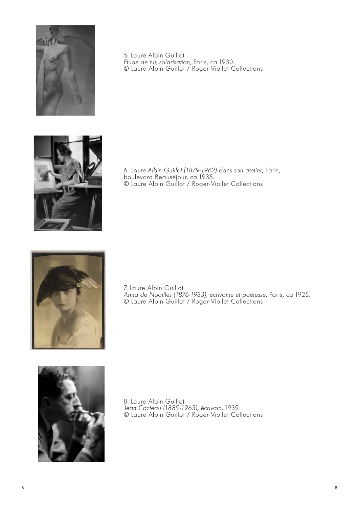

5. Laure Albin Guillot Etude de nu, solarisation, Paris, ca 1930. © Laure Albin Guillot / Roger-Viollet Collections



6. Laure Albin Guillot (1879-1962) dans son atelier, Paris, boulevard Beauséjour, ca 1935. © Laure Albin Guillot / Roger-Viollet Collections



7. Laure Albin Guillot Anna de Noailles (1876-1933), écrivaine et poétesse, Paris, ca 1925. © Laure Albin Guillot / Roger-Viollet Collections



8. Laure Albin Guillot Jean Cocteau (1889-1963), écrivain, 1939. © Laure Albin Guillot / Roger-Viollet Collections